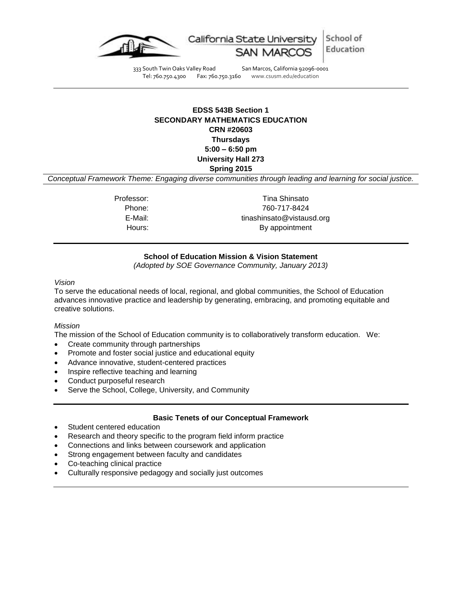

School of California State University Education

333 South Twin Oaks Valley Road San Marcos, California 92096-0001<br>Tel: 760.750.4300 Fax: 760.750.3160 www.csusm.edu/education

www.csusm.edu/education

# **EDSS 543B Section 1 SECONDARY MATHEMATICS EDUCATION CRN #20603 Thursdays 5:00 – 6:50 pm University Hall 273 Spring 2015**

*Conceptual Framework Theme: Engaging diverse communities through leading and learning for social justice.*

Professor: Tina Shinsato Phone: 760-717-8424 E-Mail: tinashinsato@vistausd.org Hours: By appointment

# **School of Education Mission & Vision Statement**

*(Adopted by SOE Governance Community, January 2013)*

#### *Vision*

To serve the educational needs of local, regional, and global communities, the School of Education advances innovative practice and leadership by generating, embracing, and promoting equitable and creative solutions.

#### *Mission*

The mission of the School of Education community is to collaboratively transform education. We:

- Create community through partnerships
- Promote and foster social justice and educational equity
- Advance innovative, student-centered practices
- Inspire reflective teaching and learning
- Conduct purposeful research
- Serve the School, College, University, and Community

## **Basic Tenets of our Conceptual Framework**

- Student centered education
- Research and theory specific to the program field inform practice
- Connections and links between coursework and application
- Strong engagement between faculty and candidates
- Co-teaching clinical practice
- Culturally responsive pedagogy and socially just outcomes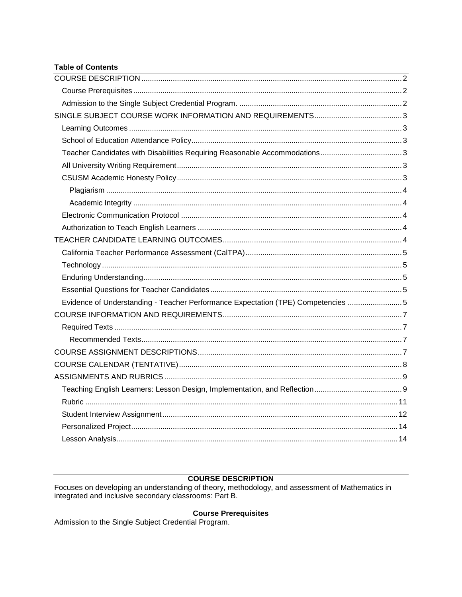# **Table of Contents**

| Evidence of Understanding - Teacher Performance Expectation (TPE) Competencies 5 |  |
|----------------------------------------------------------------------------------|--|
|                                                                                  |  |
|                                                                                  |  |
|                                                                                  |  |
|                                                                                  |  |
|                                                                                  |  |
|                                                                                  |  |
|                                                                                  |  |
|                                                                                  |  |
|                                                                                  |  |
|                                                                                  |  |
|                                                                                  |  |
|                                                                                  |  |

# **COURSE DESCRIPTION**

<span id="page-1-0"></span>Focuses on developing an understanding of theory, methodology, and assessment of Mathematics in integrated and inclusive secondary classrooms: Part B.

# **Course Prerequisites**

<span id="page-1-3"></span><span id="page-1-2"></span><span id="page-1-1"></span>Admission to the Single Subject Credential Program.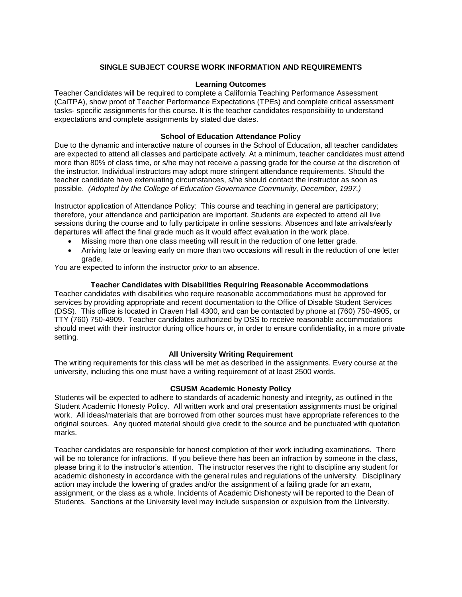### **SINGLE SUBJECT COURSE WORK INFORMATION AND REQUIREMENTS**

#### **Learning Outcomes**

<span id="page-2-0"></span>Teacher Candidates will be required to complete a California Teaching Performance Assessment (CalTPA), show proof of Teacher Performance Expectations (TPEs) and complete critical assessment tasks- specific assignments for this course. It is the teacher candidates responsibility to understand expectations and complete assignments by stated due dates.

#### **School of Education Attendance Policy**

<span id="page-2-1"></span>Due to the dynamic and interactive nature of courses in the School of Education, all teacher candidates are expected to attend all classes and participate actively. At a minimum, teacher candidates must attend more than 80% of class time, or s/he may not receive a passing grade for the course at the discretion of the instructor. Individual instructors may adopt more stringent attendance requirements. Should the teacher candidate have extenuating circumstances, s/he should contact the instructor as soon as possible. *(Adopted by the College of Education Governance Community, December, 1997.)*

Instructor application of Attendance Policy: This course and teaching in general are participatory; therefore, your attendance and participation are important. Students are expected to attend all live sessions during the course and to fully participate in online sessions. Absences and late arrivals/early departures will affect the final grade much as it would affect evaluation in the work place.

- Missing more than one class meeting will result in the reduction of one letter grade.
- Arriving late or leaving early on more than two occasions will result in the reduction of one letter grade.

You are expected to inform the instructor *prior* to an absence.

#### **Teacher Candidates with Disabilities Requiring Reasonable Accommodations**

<span id="page-2-2"></span>Teacher candidates with disabilities who require reasonable accommodations must be approved for services by providing appropriate and recent documentation to the Office of Disable Student Services (DSS). This office is located in Craven Hall 4300, and can be contacted by phone at (760) 750-4905, or TTY (760) 750-4909. Teacher candidates authorized by DSS to receive reasonable accommodations should meet with their instructor during office hours or, in order to ensure confidentiality, in a more private setting.

#### **All University Writing Requirement**

<span id="page-2-3"></span>The writing requirements for this class will be met as described in the assignments. Every course at the university, including this one must have a writing requirement of at least 2500 words.

#### **CSUSM Academic Honesty Policy**

<span id="page-2-4"></span>Students will be expected to adhere to standards of academic honesty and integrity, as outlined in the Student Academic Honesty Policy. All written work and oral presentation assignments must be original work. All ideas/materials that are borrowed from other sources must have appropriate references to the original sources. Any quoted material should give credit to the source and be punctuated with quotation marks.

<span id="page-2-5"></span>Teacher candidates are responsible for honest completion of their work including examinations. There will be no tolerance for infractions. If you believe there has been an infraction by someone in the class, please bring it to the instructor's attention. The instructor reserves the right to discipline any student for academic dishonesty in accordance with the general rules and regulations of the university. Disciplinary action may include the lowering of grades and/or the assignment of a failing grade for an exam, assignment, or the class as a whole. Incidents of Academic Dishonesty will be reported to the Dean of Students. Sanctions at the University level may include suspension or expulsion from the University.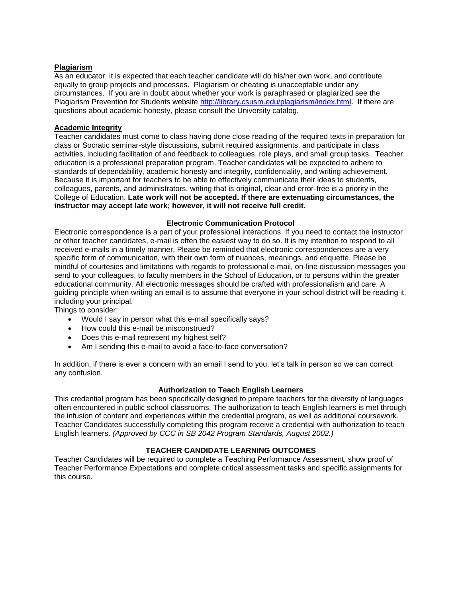#### **Plagiarism**

As an educator, it is expected that each teacher candidate will do his/her own work, and contribute equally to group projects and processes. Plagiarism or cheating is unacceptable under any circumstances. If you are in doubt about whether your work is paraphrased or plagiarized see the Plagiarism Prevention for Students website [http://library.csusm.edu/plagiarism/index.html.](http://library.csusm.edu/plagiarism/index.html) If there are questions about academic honesty, please consult the University catalog.

### <span id="page-3-0"></span>**Academic Integrity**

Teacher candidates must come to class having done close reading of the required texts in preparation for class or Socratic seminar-style discussions, submit required assignments, and participate in class activities, including facilitation of and feedback to colleagues, role plays, and small group tasks. Teacher education is a professional preparation program. Teacher candidates will be expected to adhere to standards of dependability, academic honesty and integrity, confidentiality, and writing achievement. Because it is important for teachers to be able to effectively communicate their ideas to students, colleagues, parents, and administrators, writing that is original, clear and error-free is a priority in the College of Education. **Late work will not be accepted. If there are extenuating circumstances, the instructor may accept late work; however, it will not receive full credit.**

### **Electronic Communication Protocol**

<span id="page-3-1"></span>Electronic correspondence is a part of your professional interactions. If you need to contact the instructor or other teacher candidates, e-mail is often the easiest way to do so. It is my intention to respond to all received e-mails in a timely manner. Please be reminded that electronic correspondences are a very specific form of communication, with their own form of nuances, meanings, and etiquette. Please be mindful of courtesies and limitations with regards to professional e-mail, on-line discussion messages you send to your colleagues, to faculty members in the School of Education, or to persons within the greater educational community. All electronic messages should be crafted with professionalism and care. A guiding principle when writing an email is to assume that everyone in your school district will be reading it, including your principal.

Things to consider:

- Would I say in person what this e-mail specifically says?
- How could this e-mail be misconstrued?
- Does this e-mail represent my highest self?
- Am I sending this e-mail to avoid a face-to-face conversation?

In addition, if there is ever a concern with an email I send to you, let's talk in person so we can correct any confusion.

#### **Authorization to Teach English Learners**

<span id="page-3-2"></span>This credential program has been specifically designed to prepare teachers for the diversity of languages often encountered in public school classrooms. The authorization to teach English learners is met through the infusion of content and experiences within the credential program, as well as additional coursework. Teacher Candidates successfully completing this program receive a credential with authorization to teach English learners. *(Approved by CCC in SB 2042 Program Standards, August 2002.)*

#### **TEACHER CANDIDATE LEARNING OUTCOMES**

<span id="page-3-4"></span><span id="page-3-3"></span>Teacher Candidates will be required to complete a Teaching Performance Assessment, show proof of Teacher Performance Expectations and complete critical assessment tasks and specific assignments for this course.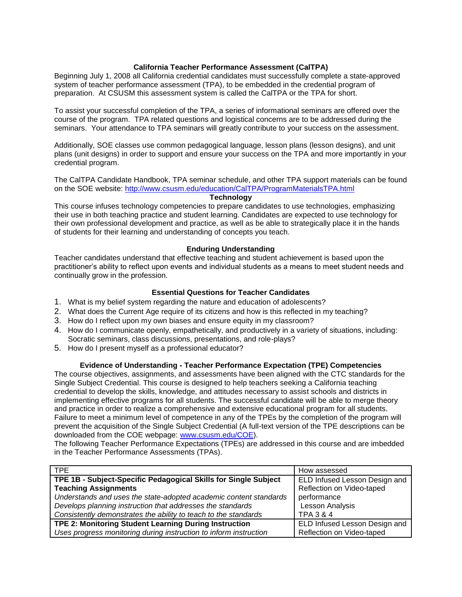### **California Teacher Performance Assessment (CalTPA)**

Beginning July 1, 2008 all California credential candidates must successfully complete a state-approved system of teacher performance assessment (TPA), to be embedded in the credential program of preparation. At CSUSM this assessment system is called the CalTPA or the TPA for short.

To assist your successful completion of the TPA, a series of informational seminars are offered over the course of the program. TPA related questions and logistical concerns are to be addressed during the seminars. Your attendance to TPA seminars will greatly contribute to your success on the assessment.

Additionally, SOE classes use common pedagogical language, lesson plans (lesson designs), and unit plans (unit designs) in order to support and ensure your success on the TPA and more importantly in your credential program.

The CalTPA Candidate Handbook, TPA seminar schedule, and other TPA support materials can be found on the SOE website: <http://www.csusm.edu/education/CalTPA/ProgramMaterialsTPA.html>

#### **Technology**

<span id="page-4-0"></span>This course infuses technology competencies to prepare candidates to use technologies, emphasizing their use in both teaching practice and student learning. Candidates are expected to use technology for their own professional development and practice, as well as be able to strategically place it in the hands of students for their learning and understanding of concepts you teach.

### **Enduring Understanding**

<span id="page-4-1"></span>Teacher candidates understand that effective teaching and student achievement is based upon the practitioner's ability to reflect upon events and individual students as a means to meet student needs and continually grow in the profession.

### **Essential Questions for Teacher Candidates**

- <span id="page-4-2"></span>1. What is my belief system regarding the nature and education of adolescents?
- 2. What does the Current Age require of its citizens and how is this reflected in my teaching?
- 3. How do I reflect upon my own biases and ensure equity in my classroom?
- 4. How do I communicate openly, empathetically, and productively in a variety of situations, including: Socratic seminars, class discussions, presentations, and role-plays?
- 5. How do I present myself as a professional educator?

#### **Evidence of Understanding - Teacher Performance Expectation (TPE) Competencies**

<span id="page-4-3"></span>The course objectives, assignments, and assessments have been aligned with the CTC standards for the Single Subject Credential. This course is designed to help teachers seeking a California teaching credential to develop the skills, knowledge, and attitudes necessary to assist schools and districts in implementing effective programs for all students. The successful candidate will be able to merge theory and practice in order to realize a comprehensive and extensive educational program for all students. Failure to meet a minimum level of competence in any of the TPEs by the completion of the program will prevent the acquisition of the Single Subject Credential (A full-text version of the TPE descriptions can be downloaded from the COE webpage: [www.csusm.edu/COE\)](http://www.csusm.edu/COE).

The following Teacher Performance Expectations (TPEs) are addressed in this course and are imbedded in the Teacher Performance Assessments (TPAs).

| TPE.                                                              | How assessed                  |
|-------------------------------------------------------------------|-------------------------------|
| TPE 1B - Subject-Specific Pedagogical Skills for Single Subject   | ELD Infused Lesson Design and |
| <b>Teaching Assignments</b>                                       | Reflection on Video-taped     |
| Understands and uses the state-adopted academic content standards | performance                   |
| Develops planning instruction that addresses the standards        | <b>Lesson Analysis</b>        |
| Consistently demonstrates the ability to teach to the standards   | <b>TPA 3 &amp; 4</b>          |
| TPE 2: Monitoring Student Learning During Instruction             | ELD Infused Lesson Design and |
| Uses progress monitoring during instruction to inform instruction | Reflection on Video-taped     |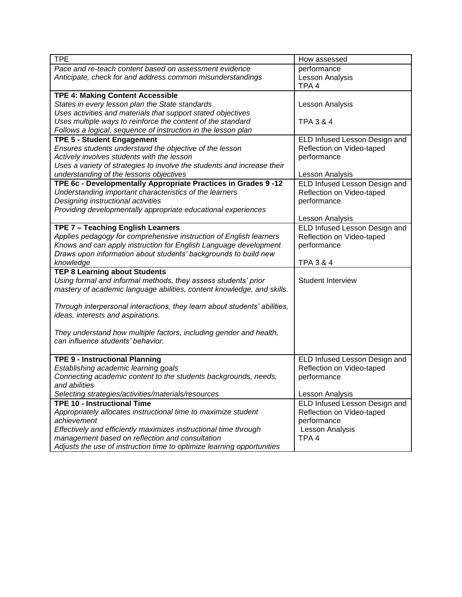<span id="page-5-0"></span>

| <b>TPE</b>                                                                                                                | How assessed                                               |
|---------------------------------------------------------------------------------------------------------------------------|------------------------------------------------------------|
| Pace and re-teach content based on assessment evidence                                                                    | performance                                                |
| Anticipate, check for and address common misunderstandings                                                                | Lesson Analysis                                            |
|                                                                                                                           | TPA <sub>4</sub>                                           |
| <b>TPE 4: Making Content Accessible</b>                                                                                   |                                                            |
| States in every lesson plan the State standards                                                                           | Lesson Analysis                                            |
| Uses activities and materials that support stated objectives                                                              |                                                            |
| Uses multiple ways to reinforce the content of the standard                                                               | <b>TPA 3 &amp; 4</b>                                       |
| Follows a logical, sequence of instruction in the lesson plan                                                             |                                                            |
| <b>TPE 5 - Student Engagement</b>                                                                                         | ELD Infused Lesson Design and                              |
| Ensures students understand the objective of the lesson                                                                   | Reflection on Video-taped                                  |
| Actively involves students with the lesson                                                                                | performance                                                |
| Uses a variety of strategies to involve the students and increase their                                                   |                                                            |
| understanding of the lessons objectives                                                                                   | Lesson Analysis                                            |
| TPE 6c - Developmentally Appropriate Practices in Grades 9 -12<br>Understanding important characteristics of the learners | ELD Infused Lesson Design and<br>Reflection on Video-taped |
| Designing instructional activities                                                                                        | performance                                                |
| Providing developmentally appropriate educational experiences                                                             |                                                            |
|                                                                                                                           | Lesson Analysis                                            |
| TPE 7 - Teaching English Learners                                                                                         | ELD Infused Lesson Design and                              |
| Applies pedagogy for comprehensive instruction of English learners                                                        | Reflection on Video-taped                                  |
| Knows and can apply instruction for English Language development                                                          | performance                                                |
| Draws upon information about students' backgrounds to build new                                                           |                                                            |
| knowledge                                                                                                                 | TPA 3 & 4                                                  |
| <b>TEP 8 Learning about Students</b>                                                                                      |                                                            |
| Using formal and informal methods, they assess students' prior                                                            | <b>Student Interview</b>                                   |
| mastery of academic language abilities, content knowledge, and skills.                                                    |                                                            |
|                                                                                                                           |                                                            |
| Through interpersonal interactions, they learn about students' abilities,                                                 |                                                            |
| ideas, interests and aspirations.                                                                                         |                                                            |
|                                                                                                                           |                                                            |
| They understand how multiple factors, including gender and health,                                                        |                                                            |
| can influence students' behavior.                                                                                         |                                                            |
|                                                                                                                           |                                                            |
| <b>TPE 9 - Instructional Planning</b><br>Establishing academic learning goals                                             | ELD Infused Lesson Design and                              |
| Connecting academic content to the students backgrounds, needs,                                                           | Reflection on Video-taped                                  |
| and abilities                                                                                                             | performance                                                |
| Selecting strategies/activities/materials/resources                                                                       | Lesson Analysis                                            |
| <b>TPE 10 - Instructional Time</b>                                                                                        | ELD Infused Lesson Design and                              |
| Appropriately allocates instructional time to maximize student                                                            | Reflection on Video-taped                                  |
| achievement                                                                                                               | performance                                                |
| Effectively and efficiently maximizes instructional time through                                                          | Lesson Analysis                                            |
| management based on reflection and consultation                                                                           | TPA <sub>4</sub>                                           |
| Adjusts the use of instruction time to optimize learning opportunities                                                    |                                                            |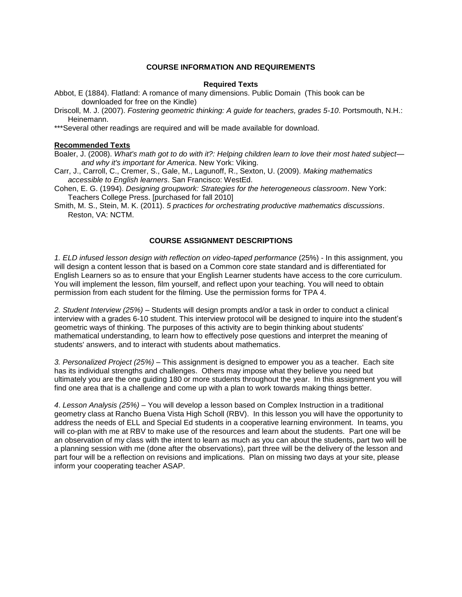### **COURSE INFORMATION AND REQUIREMENTS**

#### **Required Texts**

<span id="page-6-0"></span>Abbot, E (1884). Flatland: A romance of many dimensions. Public Domain (This book can be downloaded for free on the Kindle)

Driscoll, M. J. (2007). *Fostering geometric thinking: A guide for teachers, grades 5-10*. Portsmouth, N.H.: Heinemann.

\*\*\*Several other readings are required and will be made available for download.

#### <span id="page-6-1"></span>**Recommended Texts**

Boaler, J. (2008). *What's math got to do with it?: Helping children learn to love their most hated subject and why it's important for America*. New York: Viking.

Carr, J., Carroll, C., Cremer, S., Gale, M., Lagunoff, R., Sexton, U. (2009). *Making mathematics accessible to English learners*. San Francisco: WestEd.

Cohen, E. G. (1994). *Designing groupwork: Strategies for the heterogeneous classroom*. New York: Teachers College Press. [purchased for fall 2010]

Smith, M. S., Stein, M. K. (2011). *5 practices for orchestrating productive mathematics discussions*. Reston, VA: NCTM.

### **COURSE ASSIGNMENT DESCRIPTIONS**

<span id="page-6-2"></span>*1. ELD infused lesson design with reflection on video-taped performance* (25%) - In this assignment, you will design a content lesson that is based on a Common core state standard and is differentiated for English Learners so as to ensure that your English Learner students have access to the core curriculum. You will implement the lesson, film yourself, and reflect upon your teaching. You will need to obtain permission from each student for the filming. Use the permission forms for TPA 4.

*2. Student Interview (25%)* – Students will design prompts and/or a task in order to conduct a clinical interview with a grades 6-10 student. This interview protocol will be designed to inquire into the student's geometric ways of thinking. The purposes of this activity are to begin thinking about students' mathematical understanding, to learn how to effectively pose questions and interpret the meaning of students' answers, and to interact with students about mathematics.

*3. Personalized Project (25%)* – This assignment is designed to empower you as a teacher. Each site has its individual strengths and challenges. Others may impose what they believe you need but ultimately you are the one guiding 180 or more students throughout the year. In this assignment you will find one area that is a challenge and come up with a plan to work towards making things better.

*4*. *Lesson Analysis (25%)* – You will develop a lesson based on Complex Instruction in a traditional geometry class at Rancho Buena Vista High Scholl (RBV). In this lesson you will have the opportunity to address the needs of ELL and Special Ed students in a cooperative learning environment. In teams, you will co-plan with me at RBV to make use of the resources and learn about the students. Part one will be an observation of my class with the intent to learn as much as you can about the students, part two will be a planning session with me (done after the observations), part three will be the delivery of the lesson and part four will be a reflection on revisions and implications. Plan on missing two days at your site, please inform your cooperating teacher ASAP.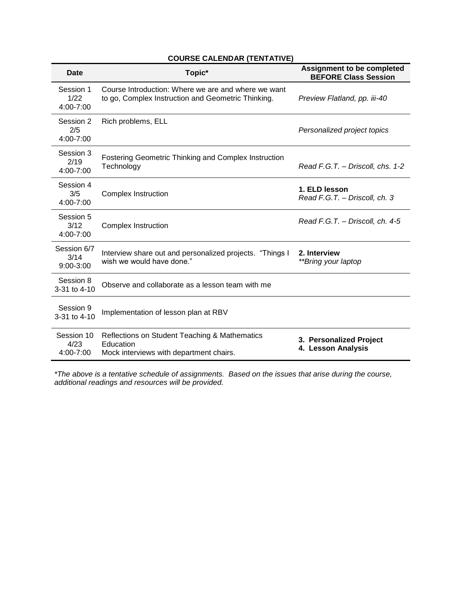# **COURSE CALENDAR (TENTATIVE)**

<span id="page-7-0"></span>

| <b>Date</b>                      | Topic*                                                                                                    | <b>Assignment to be completed</b><br><b>BEFORE Class Session</b> |  |
|----------------------------------|-----------------------------------------------------------------------------------------------------------|------------------------------------------------------------------|--|
| Session 1<br>1/22<br>4:00-7:00   | Course Introduction: Where we are and where we want<br>to go, Complex Instruction and Geometric Thinking. | Preview Flatland, pp. iii-40                                     |  |
| Session 2<br>2/5<br>4:00-7:00    | Rich problems, ELL                                                                                        | Personalized project topics                                      |  |
| Session 3<br>2/19<br>4:00-7:00   | <b>Fostering Geometric Thinking and Complex Instruction</b><br>Technology                                 | Read F.G.T. - Driscoll, chs. 1-2                                 |  |
| Session 4<br>3/5<br>4:00-7:00    | <b>Complex Instruction</b>                                                                                | 1. ELD lesson<br>Read F.G.T. - Driscoll, ch. 3                   |  |
| Session 5<br>3/12<br>4:00-7:00   | <b>Complex Instruction</b>                                                                                | Read F.G.T. - Driscoll, ch. 4-5                                  |  |
| Session 6/7<br>3/14<br>9:00-3:00 | Interview share out and personalized projects. "Things I<br>wish we would have done."                     | 2. Interview<br>**Bring your laptop                              |  |
| Session 8<br>3-31 to 4-10        | Observe and collaborate as a lesson team with me                                                          |                                                                  |  |
| Session 9<br>3-31 to 4-10        | Implementation of lesson plan at RBV                                                                      |                                                                  |  |
| Session 10<br>4/23<br>4:00-7:00  | Reflections on Student Teaching & Mathematics<br>Education<br>Mock interviews with department chairs.     | 3. Personalized Project<br>4. Lesson Analysis                    |  |

*\*The above is a tentative schedule of assignments. Based on the issues that arise during the course, additional readings and resources will be provided.*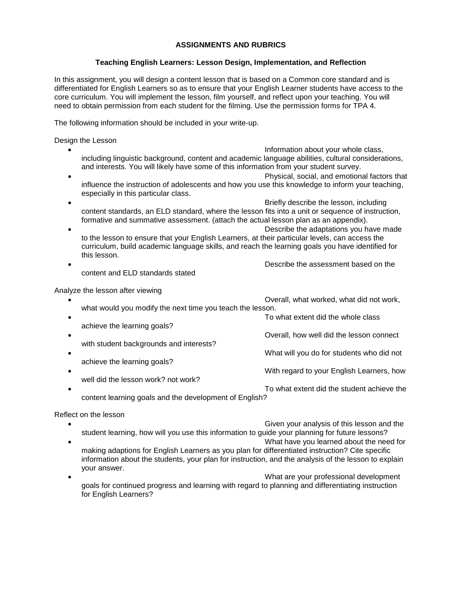### **ASSIGNMENTS AND RUBRICS**

### **Teaching English Learners: Lesson Design, Implementation, and Reflection**

<span id="page-8-1"></span><span id="page-8-0"></span>In this assignment, you will design a content lesson that is based on a Common core standard and is differentiated for English Learners so as to ensure that your English Learner students have access to the core curriculum. You will implement the lesson, film yourself, and reflect upon your teaching. You will need to obtain permission from each student for the filming. Use the permission forms for TPA 4.

The following information should be included in your write-up.

Design the Lesson

| including linguistic background, content and academic language abilities, cultural considerations,<br>and interests. You will likely have some of this information from your student survey.                       | Information about your whole class,          |  |  |
|--------------------------------------------------------------------------------------------------------------------------------------------------------------------------------------------------------------------|----------------------------------------------|--|--|
|                                                                                                                                                                                                                    | Physical, social, and emotional factors that |  |  |
| influence the instruction of adolescents and how you use this knowledge to inform your teaching,<br>especially in this particular class.                                                                           |                                              |  |  |
|                                                                                                                                                                                                                    | Briefly describe the lesson, including       |  |  |
| content standards, an ELD standard, where the lesson fits into a unit or sequence of instruction,<br>formative and summative assessment. (attach the actual lesson plan as an appendix).                           |                                              |  |  |
|                                                                                                                                                                                                                    | Describe the adaptations you have made       |  |  |
| to the lesson to ensure that your English Learners, at their particular levels, can access the<br>curriculum, build academic language skills, and reach the learning goals you have identified for<br>this lesson. |                                              |  |  |
|                                                                                                                                                                                                                    | Describe the assessment based on the         |  |  |
| content and ELD standards stated                                                                                                                                                                                   |                                              |  |  |
| Analyze the lesson after viewing                                                                                                                                                                                   |                                              |  |  |
| what would you modify the next time you teach the lesson.                                                                                                                                                          | Overall, what worked, what did not work,     |  |  |
|                                                                                                                                                                                                                    | To what extent did the whole class           |  |  |
| achieve the learning goals?                                                                                                                                                                                        |                                              |  |  |
|                                                                                                                                                                                                                    | Overall, how well did the lesson connect     |  |  |
| with student backgrounds and interests?                                                                                                                                                                            |                                              |  |  |
|                                                                                                                                                                                                                    | What will you do for students who did not    |  |  |
| achieve the learning goals?                                                                                                                                                                                        |                                              |  |  |
| well did the lesson work? not work?                                                                                                                                                                                | With regard to your English Learners, how    |  |  |
|                                                                                                                                                                                                                    | To what extent did the student achieve the   |  |  |

content learning goals and the development of English?

Reflect on the lesson

- Given your analysis of this lesson and the student learning, how will you use this information to guide your planning for future lessons? What have you learned about the need for making adaptions for English Learners as you plan for differentiated instruction? Cite specific information about the students, your plan for instruction, and the analysis of the lesson to explain your answer.
- What are your professional development goals for continued progress and learning with regard to planning and differentiating instruction for English Learners?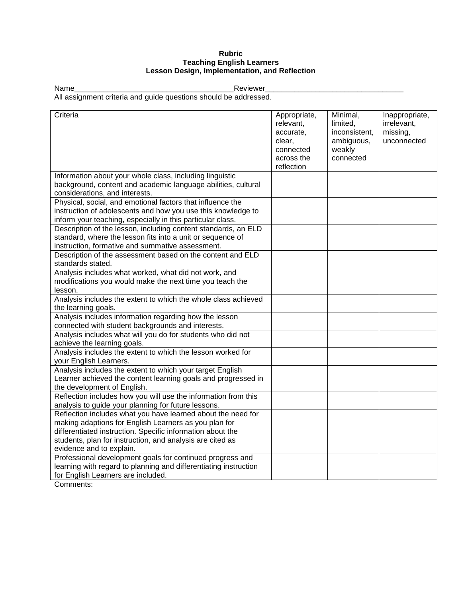### **Rubric Teaching English Learners Lesson Design, Implementation, and Reflection**

<span id="page-10-0"></span>

Name\_\_\_\_\_\_\_\_\_\_\_\_\_\_\_\_\_\_\_\_\_\_\_\_\_\_\_\_\_\_\_\_\_\_\_\_\_\_Reviewer\_\_\_\_\_\_\_\_\_\_\_\_\_\_\_\_\_\_\_\_\_\_\_\_\_\_\_\_\_\_\_\_\_

All assignment criteria and guide questions should be addressed.

| Criteria                                                                                                                                                                                                                                                                     | Appropriate,<br>relevant,<br>accurate,<br>clear,<br>connected<br>across the<br>reflection | Minimal,<br>limited.<br>inconsistent,<br>ambiguous,<br>weakly<br>connected | Inappropriate,<br>irrelevant,<br>missing,<br>unconnected |
|------------------------------------------------------------------------------------------------------------------------------------------------------------------------------------------------------------------------------------------------------------------------------|-------------------------------------------------------------------------------------------|----------------------------------------------------------------------------|----------------------------------------------------------|
| Information about your whole class, including linguistic<br>background, content and academic language abilities, cultural<br>considerations, and interests.                                                                                                                  |                                                                                           |                                                                            |                                                          |
| Physical, social, and emotional factors that influence the<br>instruction of adolescents and how you use this knowledge to<br>inform your teaching, especially in this particular class.                                                                                     |                                                                                           |                                                                            |                                                          |
| Description of the lesson, including content standards, an ELD<br>standard, where the lesson fits into a unit or sequence of<br>instruction, formative and summative assessment.                                                                                             |                                                                                           |                                                                            |                                                          |
| Description of the assessment based on the content and ELD<br>standards stated.                                                                                                                                                                                              |                                                                                           |                                                                            |                                                          |
| Analysis includes what worked, what did not work, and<br>modifications you would make the next time you teach the<br>lesson.                                                                                                                                                 |                                                                                           |                                                                            |                                                          |
| Analysis includes the extent to which the whole class achieved<br>the learning goals.                                                                                                                                                                                        |                                                                                           |                                                                            |                                                          |
| Analysis includes information regarding how the lesson<br>connected with student backgrounds and interests.                                                                                                                                                                  |                                                                                           |                                                                            |                                                          |
| Analysis includes what will you do for students who did not<br>achieve the learning goals.                                                                                                                                                                                   |                                                                                           |                                                                            |                                                          |
| Analysis includes the extent to which the lesson worked for<br>your English Learners.                                                                                                                                                                                        |                                                                                           |                                                                            |                                                          |
| Analysis includes the extent to which your target English<br>Learner achieved the content learning goals and progressed in<br>the development of English.                                                                                                                    |                                                                                           |                                                                            |                                                          |
| Reflection includes how you will use the information from this<br>analysis to guide your planning for future lessons.                                                                                                                                                        |                                                                                           |                                                                            |                                                          |
| Reflection includes what you have learned about the need for<br>making adaptions for English Learners as you plan for<br>differentiated instruction. Specific information about the<br>students, plan for instruction, and analysis are cited as<br>evidence and to explain. |                                                                                           |                                                                            |                                                          |
| Professional development goals for continued progress and<br>learning with regard to planning and differentiating instruction<br>for English Learners are included.                                                                                                          |                                                                                           |                                                                            |                                                          |

Comments: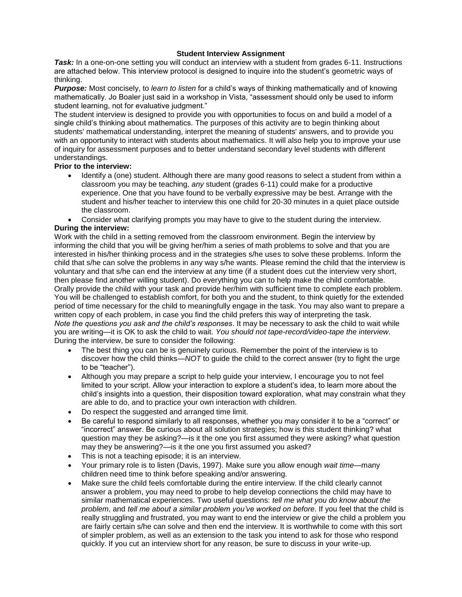### **Student Interview Assignment**

<span id="page-11-0"></span>*Task:* In a one-on-one setting you will conduct an interview with a student from grades 6-11. Instructions are attached below. This interview protocol is designed to inquire into the student's geometric ways of thinking.

*Purpose:* Most concisely, to *learn to listen* for a child's ways of thinking mathematically and of knowing mathematically. Jo Boaler just said in a workshop in Vista, "assessment should only be used to inform student learning, not for evaluative judgment."

The student interview is designed to provide you with opportunities to focus on and build a model of a single child's thinking about mathematics. The purposes of this activity are to begin thinking about students' mathematical understanding, interpret the meaning of students' answers, and to provide you with an opportunity to interact with students about mathematics. It will also help you to improve your use of inquiry for assessment purposes and to better understand secondary level students with different understandings.

## **Prior to the interview:**

- Identify a (one) student. Although there are many good reasons to select a student from within a classroom you may be teaching, *any* student (grades 6-11) could make for a productive experience. One that you have found to be verbally expressive may be best. Arrange with the student and his/her teacher to interview this one child for 20-30 minutes in a quiet place outside the classroom.
- Consider what clarifying prompts you may have to give to the student during the interview.

## **During the interview:**

Work with the child in a setting removed from the classroom environment. Begin the interview by informing the child that you will be giving her/him a series of math problems to solve and that you are interested in his/her thinking process and in the strategies s/he uses to solve these problems. Inform the child that s/he can solve the problems in any way s/he wants. Please remind the child that the interview is voluntary and that s/he can end the interview at any time (if a student does cut the interview very short, then please find another willing student). Do everything you can to help make the child comfortable. Orally provide the child with your task and provide her/him with sufficient time to complete each problem. You will be challenged to establish comfort, for both you and the student, to think quietly for the extended period of time necessary for the child to meaningfully engage in the task. You may also want to prepare a written copy of each problem, in case you find the child prefers this way of interpreting the task. *Note the questions you ask and the child's responses*. It may be necessary to ask the child to wait while you are writing—it is OK to ask the child to wait. *You should not tape-record/video-tape the interview*. During the interview, be sure to consider the following:

- The best thing you can be is genuinely curious. Remember the point of the interview is to discover how the child thinks—*NOT* to guide the child to the correct answer (try to fight the urge to be "teacher").
- Although you may prepare a script to help guide your interview, I encourage you to not feel limited to your script. Allow your interaction to explore a student's idea, to learn more about the child's insights into a question, their disposition toward exploration, what may constrain what they are able to do, and to practice your own interaction with children.
- Do respect the suggested and arranged time limit.
- Be careful to respond similarly to all responses, whether you may consider it to be a "correct" or "incorrect" answer. Be curious about all solution strategies; how is this student thinking? what question may they be asking?—is it the one you first assumed they were asking? what question may they be answering?—is it the one you first assumed you asked?
- This is not a teaching episode; it is an interview.
- Your primary role is to listen (Davis, 1997). Make sure you allow enough *wait time*—many children need time to think before speaking and/or answering.
- Make sure the child feels comfortable during the entire interview. If the child clearly cannot answer a problem, you may need to probe to help develop connections the child may have to similar mathematical experiences. Two useful questions: *tell me what you do know about the problem*, and *tell me about a similar problem you've worked on before*. If you feel that the child is really struggling and frustrated, you may want to end the interview or give the child a problem you are fairly certain s/he can solve and then end the interview. It is worthwhile to come with this sort of simpler problem, as well as an extension to the task you intend to ask for those who respond quickly. If you cut an interview short for any reason, be sure to discuss in your write-up.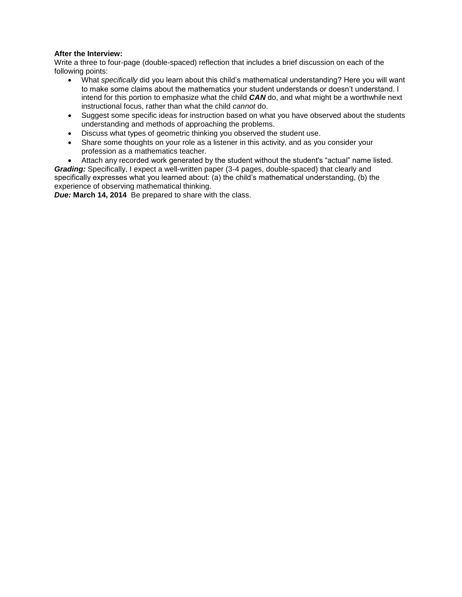### **After the Interview:**

Write a three to four-page (double-spaced) reflection that includes a brief discussion on each of the following points:

- What *specifically* did you learn about this child's mathematical understanding? Here you will want to make some claims about the mathematics your student understands or doesn't understand. I intend for this portion to emphasize what the child *CAN* do, and what might be a worthwhile next instructional focus, rather than what the child *cannot* do.
- Suggest some specific ideas for instruction based on what you have observed about the students understanding and methods of approaching the problems.
- Discuss what types of geometric thinking you observed the student use.
- Share some thoughts on your role as a listener in this activity, and as you consider your profession as a mathematics teacher.

 Attach any recorded work generated by the student without the student's "actual" name listed. *Grading:* Specifically, I expect a well-written paper (3-4 pages, double-spaced) that clearly and specifically expresses what you learned about: (a) the child's mathematical understanding, (b) the experience of observing mathematical thinking.

*Due:* **March 14, 2014** Be prepared to share with the class.